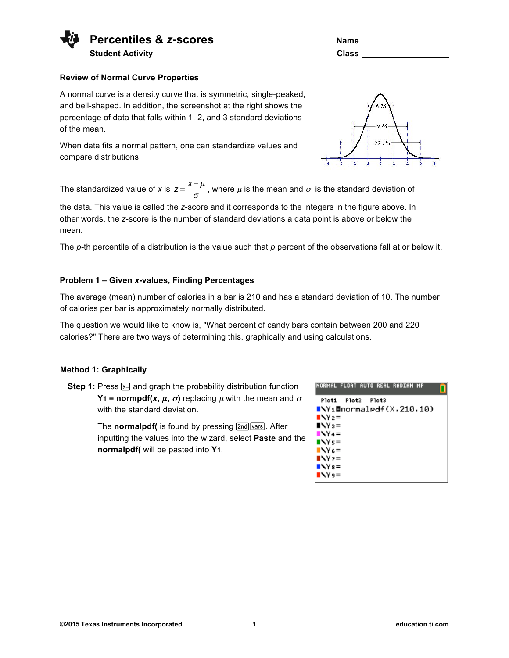# **Review of Normal Curve Properties**

A normal curve is a density curve that is symmetric, single-peaked, and bell-shaped. In addition, the screenshot at the right shows the percentage of data that falls within 1, 2, and 3 standard deviations of the mean.

When data fits a normal pattern, one can standardize values and compare distributions

The standardized value of *x* is  $z = \frac{x - \mu}{\sigma}$ , where  $\mu$  is the mean and  $\sigma$  is the standard deviation of

the data. This value is called the *z*-score and it corresponds to the integers in the figure above. In other words, the *z*-score is the number of standard deviations a data point is above or below the mean.

The *p*-th percentile of a distribution is the value such that *p* percent of the observations fall at or below it.

## **Problem 1 – Given** *x***-values, Finding Percentages**

The average (mean) number of calories in a bar is 210 and has a standard deviation of 10. The number of calories per bar is approximately normally distributed.

The question we would like to know is, "What percent of candy bars contain between 200 and 220 calories?" There are two ways of determining this, graphically and using calculations.

## **Method 1: Graphically**

**Step 1:** Press  $\boxed{y}$  and graph the probability distribution function **Y1** = normpdf(*x*,  $\mu$ ,  $\sigma$ ) replacing  $\mu$  with the mean and  $\sigma$ with the standard deviation.

> The **normalpdf**( is found by pressing  $\boxed{2nd}$   $\boxed{vars}$ . After inputting the values into the wizard, select **Paste** and the **normalpdf(** will be pasted into **Y1**.



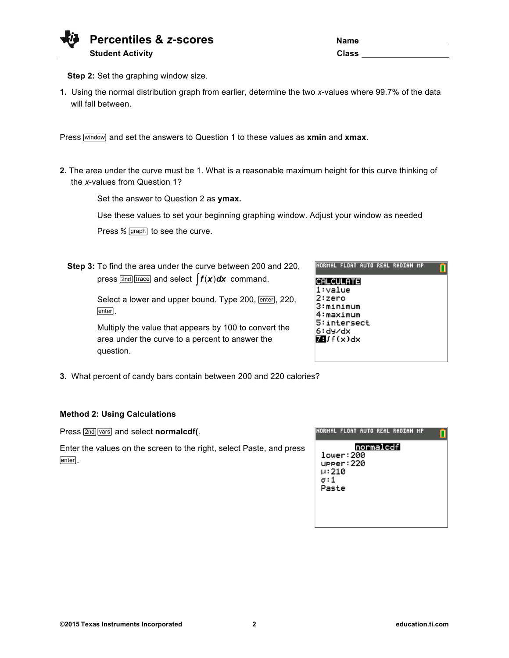| <b>Vij</b> Percentiles & z-scores | Name         |
|-----------------------------------|--------------|
| <b>Student Activity</b>           | <b>Class</b> |

| <b>Name</b>  |  |
|--------------|--|
| <b>Class</b> |  |

**Step 2:** Set the graphing window size.

**1.** Using the normal distribution graph from earlier, determine the two *x*-values where 99.7% of the data will fall between.

Press **window** and set the answers to Question 1 to these values as xmin and xmax.

**2.** The area under the curve must be 1. What is a reasonable maximum height for this curve thinking of the *x*-values from Question 1?

Set the answer to Question 2 as **ymax.**

Use these values to set your beginning graphing window. Adjust your window as needed

Press % [graph] to see the curve.

**Step 3:** To find the area under the curve between 200 and 220, press  $\sqrt{2nd}$  [trace] and select  $\int f(x) dx$  command.

> Select a lower and upper bound. Type 200, *enter*, 220, enter].

Multiply the value that appears by 100 to convert the area under the curve to a percent to answer the question.

**3.** What percent of candy bars contain between 200 and 220 calories?

# **Method 2: Using Calculations**

Press [2nd] vars] and select **normalcdf(**.

Enter the values on the screen to the right, select Paste, and press enter].

|                       |                        |           | NORMAL FLOAT AUTO REAL RADIAN MP |  |
|-----------------------|------------------------|-----------|----------------------------------|--|
| µ:210<br>σ:1<br>Paste | lower:200<br>upper:220 | normalcdf |                                  |  |

NORMAL FLOAT AUTO REAL RADIAN MP

**CALCULATE**  $1:value$ 2:zero 3:minimum 4:maximum 5:intersect 6:dy/dx  $M(f(x))dx$ 

| 그 그는 그 사람들은 그 사람들을 사랑하고 있다. 그 사람들은 그 사람들은 어디에 대해 보았다. |  |  |  |  |
|-------------------------------------------------------|--|--|--|--|
|                                                       |  |  |  |  |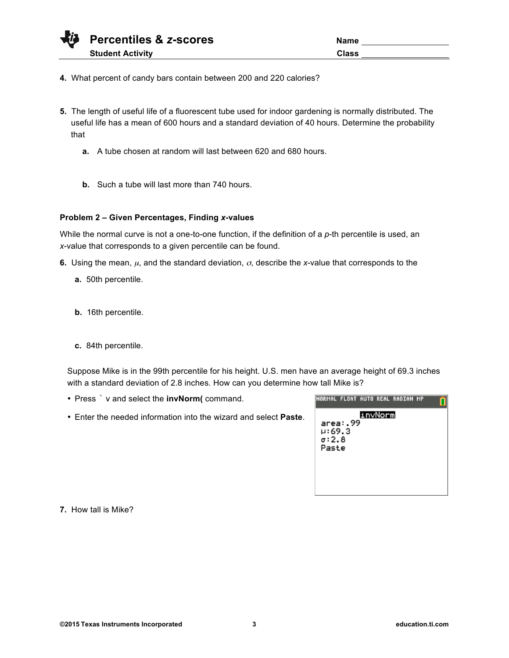| Name         |  |
|--------------|--|
| <b>Class</b> |  |

- **4.** What percent of candy bars contain between 200 and 220 calories?
- **5.** The length of useful life of a fluorescent tube used for indoor gardening is normally distributed. The useful life has a mean of 600 hours and a standard deviation of 40 hours. Determine the probability that
	- **a.** A tube chosen at random will last between 620 and 680 hours.
	- **b.** Such a tube will last more than 740 hours.

## **Problem 2 – Given Percentages, Finding** *x***-values**

While the normal curve is not a one-to-one function, if the definition of a *p*-th percentile is used, an *x*-value that corresponds to a given percentile can be found.

- **6.** Using the mean,  $\mu$ , and the standard deviation,  $\sigma$ , describe the *x*-value that corresponds to the
	- **a.** 50th percentile.
	- **b.** 16th percentile.
	- **c.** 84th percentile.

Suppose Mike is in the 99th percentile for his height. U.S. men have an average height of 69.3 inches with a standard deviation of 2.8 inches. How can you determine how tall Mike is?

- Press ` v and select the **invNorm(** command.
- Enter the needed information into the wizard and select **Paste**.

| NORMAL FLOAT AUTO REAL RADIAN MP |          |         |  |  |
|----------------------------------|----------|---------|--|--|
|                                  | area: 99 | invNorm |  |  |
| н:69.3<br>$\sigma$ :2.8          |          |         |  |  |
| Paste                            |          |         |  |  |
|                                  |          |         |  |  |
|                                  |          |         |  |  |

**7.** How tall is Mike?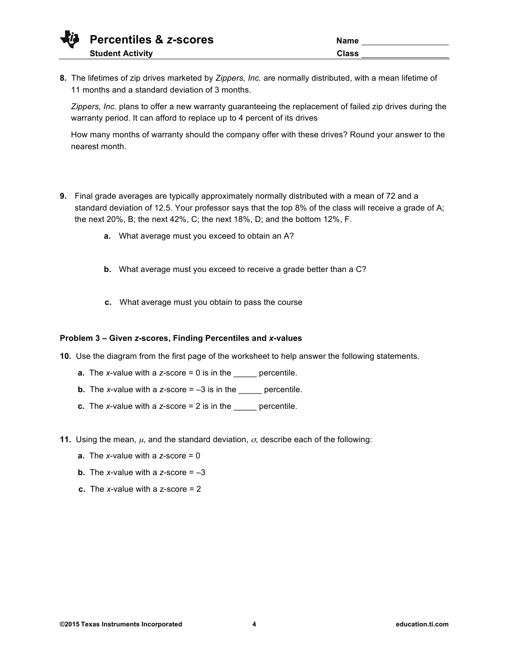**8.** The lifetimes of zip drives marketed by *Zippers, Inc.* are normally distributed, with a mean lifetime of 11 months and a standard deviation of 3 months.

*Zippers, Inc.* plans to offer a new warranty guaranteeing the replacement of failed zip drives during the warranty period. It can afford to replace up to 4 percent of its drives

How many months of warranty should the company offer with these drives? Round your answer to the nearest month.

- **9.** Final grade averages are typically approximately normally distributed with a mean of 72 and a standard deviation of 12.5. Your professor says that the top 8% of the class will receive a grade of A; the next 20%, B; the next 42%, C; the next 18%, D; and the bottom 12%, F.
	- **a.** What average must you exceed to obtain an A?
	- **b.** What average must you exceed to receive a grade better than a C?
	- **c.** What average must you obtain to pass the course

## **Problem 3 – Given** *z***-scores, Finding Percentiles and** *x***-values**

- **10.** Use the diagram from the first page of the worksheet to help answer the following statements.
	- **a.** The *x*-value with a *z*-score = 0 is in the \_\_\_\_\_ percentile.
	- **b.** The *x*-value with a *z*-score  $= -3$  is in the <u>sum</u> percentile.
	- **c.** The *x*-value with a *z*-score = 2 is in the \_\_\_\_\_ percentile.
- **11.** Using the mean,  $\mu$ , and the standard deviation,  $\sigma$ , describe each of the following:
	- **a.** The *x*-value with a *z*-score = 0
	- **b.** The *x*-value with a *z*-score  $= -3$
	- **c.** The *x*-value with a z-score = 2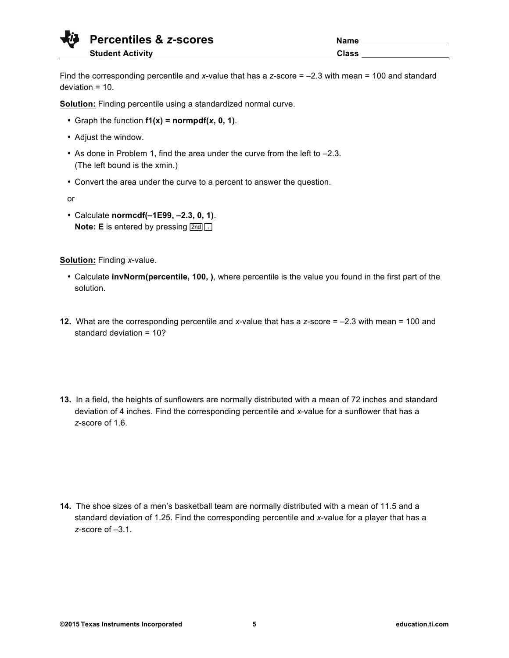| Name         |  |
|--------------|--|
| <b>Class</b> |  |

Find the corresponding percentile and *x*-value that has a *z*-score = –2.3 with mean = 100 and standard deviation = 10.

**Solution:** Finding percentile using a standardized normal curve.

- Graph the function **f1(x) = normpdf(***x***, 0, 1)**.
- Adjust the window.
- As done in Problem 1, find the area under the curve from the left to –2.3. (The left bound is the xmin.)
- Convert the area under the curve to a percent to answer the question.

or

• Calculate **normcdf(–1E99, –2.3, 0, 1)**. **Note: E** is entered by pressing  $\boxed{2nd}$ ,

**Solution:** Finding *x*-value.

- Calculate **invNorm(percentile, 100, )**, where percentile is the value you found in the first part of the solution.
- **12.** What are the corresponding percentile and *x*-value that has a *z*-score = –2.3 with mean = 100 and standard deviation = 10?
- **13.** In a field, the heights of sunflowers are normally distributed with a mean of 72 inches and standard deviation of 4 inches. Find the corresponding percentile and *x*-value for a sunflower that has a *z*-score of 1.6.

**14.** The shoe sizes of a men's basketball team are normally distributed with a mean of 11.5 and a standard deviation of 1.25. Find the corresponding percentile and *x*-value for a player that has a *z*-score of –3.1.